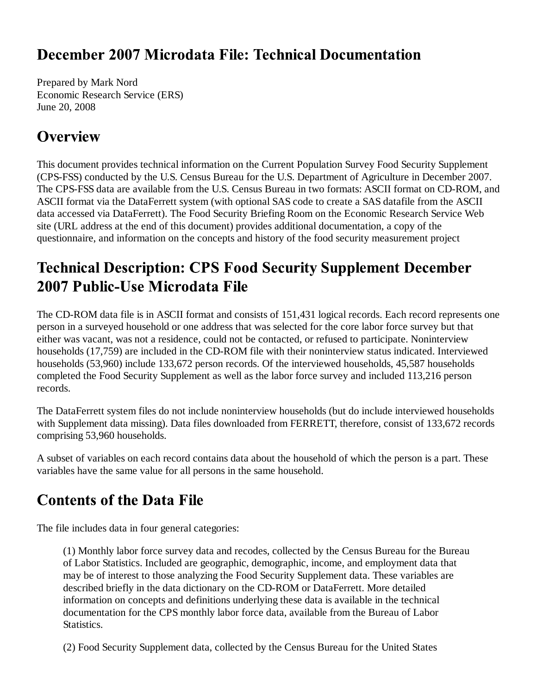### December 2007 Microdata File: Technical Documentation

Prepared by Mark Nord Economic Research Service (ERS) June 20, 2008

### **Overview**

This document provides technical information on the Current Population Survey Food Security Supplement (CPS-FSS) conducted by the U.S. Census Bureau for the U.S. Department of Agriculture in December 2007. The CPS-FSS data are available from the U.S. Census Bureau in two formats: ASCII format on CD-ROM, and ASCII format via the DataFerrett system (with optional SAS code to create a SAS datafile from the ASCII data accessed via DataFerrett). The Food Security Briefing Room on the Economic Research Service Web site (URL address at the end of this document) provides additional documentation, a copy of the questionnaire, and information on the concepts and history of the food security measurement project

# **Technical Description: CPS Food Security Supplement December** 2007 Public-Use Microdata File

The CD-ROM data file is in ASCII format and consists of 151,431 logical records. Each record represents one person in a surveyed household or one address that was selected for the core labor force survey but that either was vacant, was not a residence, could not be contacted, or refused to participate. Noninterview households (17,759) are included in the CD-ROM file with their noninterview status indicated. Interviewed households (53,960) include 133,672 person records. Of the interviewed households, 45,587 households completed the Food Security Supplement as well as the labor force survey and included 113,216 person records.

The DataFerrett system files do not include noninterview households (but do include interviewed households with Supplement data missing). Data files downloaded from FERRETT, therefore, consist of 133,672 records comprising 53,960 households.

A subset of variables on each record contains data about the household of which the person is a part. These variables have the same value for all persons in the same household.

# **Contents of the Data File**

The file includes data in four general categories:

(1) Monthly labor force survey data and recodes, collected by the Census Bureau for the Bureau of Labor Statistics. Included are geographic, demographic, income, and employment data that may be of interest to those analyzing the Food Security Supplement data. These variables are described briefly in the data dictionary on the CD-ROM or DataFerrett. More detailed information on concepts and definitions underlying these data is available in the technical documentation for the CPS monthly labor force data, available from the Bureau of Labor **Statistics.** 

(2) Food Security Supplement data, collected by the Census Bureau for the United States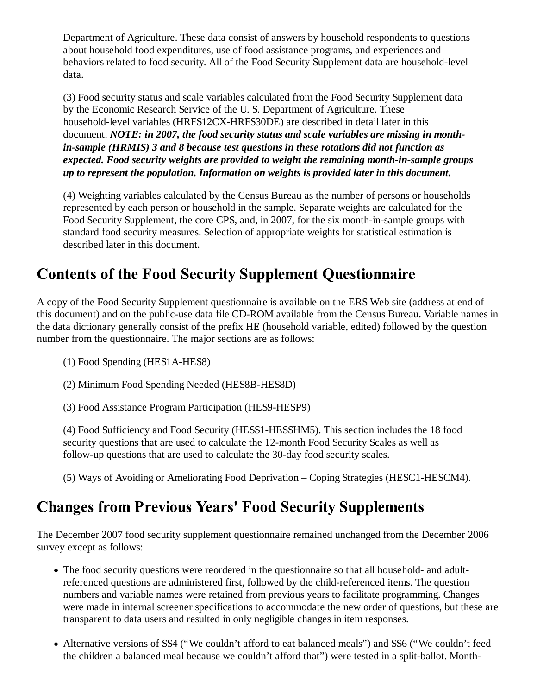Department of Agriculture. These data consist of answers by household respondents to questions about household food expenditures, use of food assistance programs, and experiences and behaviors related to food security. All of the Food Security Supplement data are household-level data.

(3) Food security status and scale variables calculated from the Food Security Supplement data by the Economic Research Service of the U. S. Department of Agriculture. These household-level variables (HRFS12CX-HRFS30DE) are described in detail later in this document. *NOTE: in 2007, the food security status and scale variables are missing in monthin-sample (HRMIS) 3 and 8 because test questions in these rotations did not function as expected. Food security weights are provided to weight the remaining month-in-sample groups up to represent the population. Information on weights is provided later in this document.*

(4) Weighting variables calculated by the Census Bureau as the number of persons or households represented by each person or household in the sample. Separate weights are calculated for the Food Security Supplement, the core CPS, and, in 2007, for the six month-in-sample groups with standard food security measures. Selection of appropriate weights for statistical estimation is described later in this document.

## **Contents of the Food Security Supplement Questionnaire**

A copy of the Food Security Supplement questionnaire is available on the ERS Web site (address at end of this document) and on the public-use data file CD-ROM available from the Census Bureau. Variable names in the data dictionary generally consist of the prefix HE (household variable, edited) followed by the question number from the questionnaire. The major sections are as follows:

- (1) Food Spending (HES1A-HES8)
- (2) Minimum Food Spending Needed (HES8B-HES8D)
- (3) Food Assistance Program Participation (HES9-HESP9)

(4) Food Sufficiency and Food Security (HESS1-HESSHM5). This section includes the 18 food security questions that are used to calculate the 12-month Food Security Scales as well as follow-up questions that are used to calculate the 30-day food security scales.

(5) Ways of Avoiding or Ameliorating Food Deprivation – Coping Strategies (HESC1-HESCM4).

### **Changes from Previous Years' Food Security Supplements**

The December 2007 food security supplement questionnaire remained unchanged from the December 2006 survey except as follows:

- The food security questions were reordered in the questionnaire so that all household- and adultreferenced questions are administered first, followed by the child-referenced items. The question numbers and variable names were retained from previous years to facilitate programming. Changes were made in internal screener specifications to accommodate the new order of questions, but these are transparent to data users and resulted in only negligible changes in item responses.
- Alternative versions of SS4 ("We couldn't afford to eat balanced meals") and SS6 ("We couldn't feed the children a balanced meal because we couldn't afford that") were tested in a split-ballot. Month-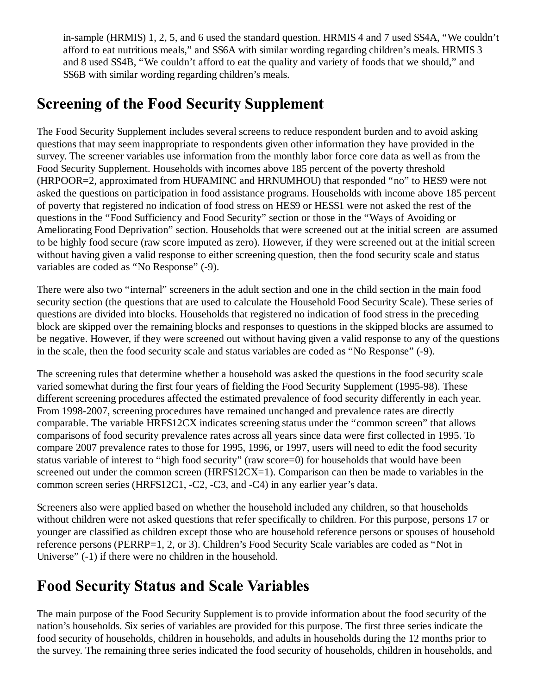in-sample (HRMIS) 1, 2, 5, and 6 used the standard question. HRMIS 4 and 7 used SS4A, "We couldn't afford to eat nutritious meals," and SS6A with similar wording regarding children's meals. HRMIS 3 and 8 used SS4B, "We couldn't afford to eat the quality and variety of foods that we should," and SS6B with similar wording regarding children's meals.

## **Screening of the Food Security Supplement**

The Food Security Supplement includes several screens to reduce respondent burden and to avoid asking questions that may seem inappropriate to respondents given other information they have provided in the survey. The screener variables use information from the monthly labor force core data as well as from the Food Security Supplement. Households with incomes above 185 percent of the poverty threshold (HRPOOR=2, approximated from HUFAMINC and HRNUMHOU) that responded "no" to HES9 were not asked the questions on participation in food assistance programs. Households with income above 185 percent of poverty that registered no indication of food stress on HES9 or HESS1 were not asked the rest of the questions in the "Food Sufficiency and Food Security" section or those in the "Ways of Avoiding or Ameliorating Food Deprivation" section. Households that were screened out at the initial screen are assumed to be highly food secure (raw score imputed as zero). However, if they were screened out at the initial screen without having given a valid response to either screening question, then the food security scale and status variables are coded as "No Response" (-9).

There were also two "internal" screeners in the adult section and one in the child section in the main food security section (the questions that are used to calculate the Household Food Security Scale). These series of questions are divided into blocks. Households that registered no indication of food stress in the preceding block are skipped over the remaining blocks and responses to questions in the skipped blocks are assumed to be negative. However, if they were screened out without having given a valid response to any of the questions in the scale, then the food security scale and status variables are coded as "No Response" (-9).

The screening rules that determine whether a household was asked the questions in the food security scale varied somewhat during the first four years of fielding the Food Security Supplement (1995-98). These different screening procedures affected the estimated prevalence of food security differently in each year. From 1998-2007, screening procedures have remained unchanged and prevalence rates are directly comparable. The variable HRFS12CX indicates screening status under the "common screen" that allows comparisons of food security prevalence rates across all years since data were first collected in 1995. To compare 2007 prevalence rates to those for 1995, 1996, or 1997, users will need to edit the food security status variable of interest to "high food security" (raw score=0) for households that would have been screened out under the common screen (HRFS12CX=1). Comparison can then be made to variables in the common screen series (HRFS12C1, -C2, -C3, and -C4) in any earlier year's data.

Screeners also were applied based on whether the household included any children, so that households without children were not asked questions that refer specifically to children. For this purpose, persons 17 or younger are classified as children except those who are household reference persons or spouses of household reference persons (PERRP=1, 2, or 3). Children's Food Security Scale variables are coded as "Not in Universe" (-1) if there were no children in the household.

## **Food Security Status and Scale Variables**

The main purpose of the Food Security Supplement is to provide information about the food security of the nation's households. Six series of variables are provided for this purpose. The first three series indicate the food security of households, children in households, and adults in households during the 12 months prior to the survey. The remaining three series indicated the food security of households, children in households, and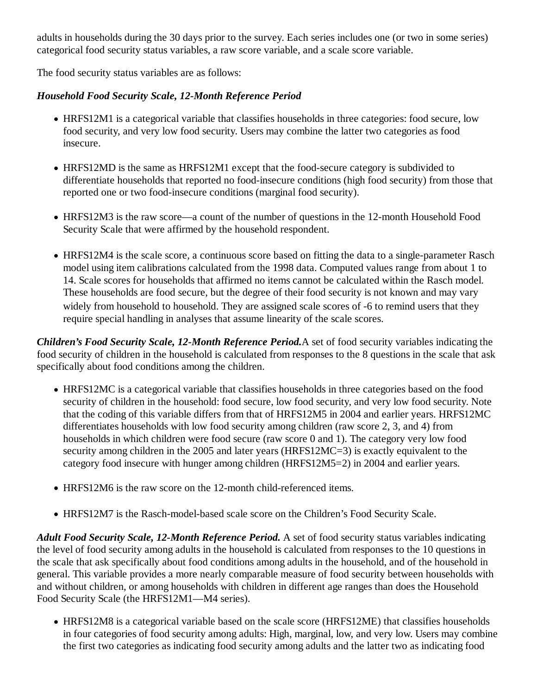adults in households during the 30 days prior to the survey. Each series includes one (or two in some series) categorical food security status variables, a raw score variable, and a scale score variable.

The food security status variables are as follows:

#### *Household Food Security Scale, 12-Month Reference Period*

- HRFS12M1 is a categorical variable that classifies households in three categories: food secure, low food security, and very low food security. Users may combine the latter two categories as food insecure.
- HRFS12MD is the same as HRFS12M1 except that the food-secure category is subdivided to differentiate households that reported no food-insecure conditions (high food security) from those that reported one or two food-insecure conditions (marginal food security).
- HRFS12M3 is the raw score—a count of the number of questions in the 12-month Household Food Security Scale that were affirmed by the household respondent.
- HRFS12M4 is the scale score, a continuous score based on fitting the data to a single-parameter Rasch model using item calibrations calculated from the 1998 data. Computed values range from about 1 to 14. Scale scores for households that affirmed no items cannot be calculated within the Rasch model. These households are food secure, but the degree of their food security is not known and may vary widely from household to household. They are assigned scale scores of -6 to remind users that they require special handling in analyses that assume linearity of the scale scores.

*Children's Food Security Scale, 12-Month Reference Period.*A set of food security variables indicating the food security of children in the household is calculated from responses to the 8 questions in the scale that ask specifically about food conditions among the children.

- HRFS12MC is a categorical variable that classifies households in three categories based on the food security of children in the household: food secure, low food security, and very low food security. Note that the coding of this variable differs from that of HRFS12M5 in 2004 and earlier years. HRFS12MC differentiates households with low food security among children (raw score 2, 3, and 4) from households in which children were food secure (raw score 0 and 1). The category very low food security among children in the 2005 and later years (HRFS12MC=3) is exactly equivalent to the category food insecure with hunger among children (HRFS12M5=2) in 2004 and earlier years.
- HRFS12M6 is the raw score on the 12-month child-referenced items.
- HRFS12M7 is the Rasch-model-based scale score on the Children's Food Security Scale.

*Adult Food Security Scale, 12-Month Reference Period.* A set of food security status variables indicating the level of food security among adults in the household is calculated from responses to the 10 questions in the scale that ask specifically about food conditions among adults in the household, and of the household in general. This variable provides a more nearly comparable measure of food security between households with and without children, or among households with children in different age ranges than does the Household Food Security Scale (the HRFS12M1—M4 series).

HRFS12M8 is a categorical variable based on the scale score (HRFS12ME) that classifies households in four categories of food security among adults: High, marginal, low, and very low. Users may combine the first two categories as indicating food security among adults and the latter two as indicating food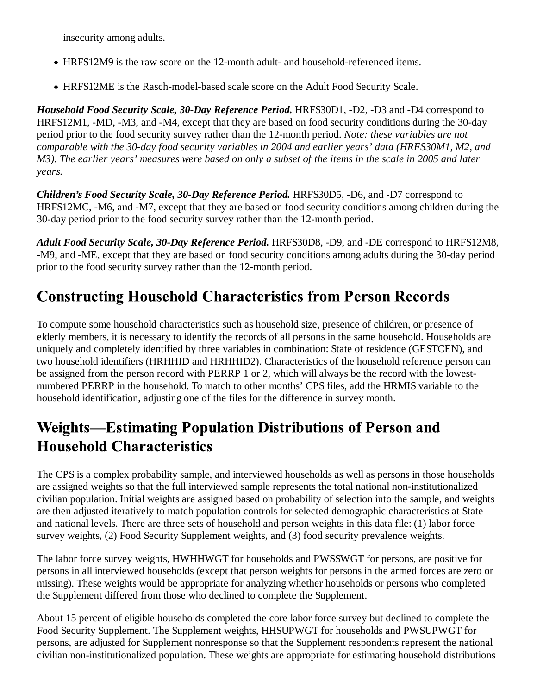insecurity among adults.

- HRFS12M9 is the raw score on the 12-month adult- and household-referenced items.
- HRFS12ME is the Rasch-model-based scale score on the Adult Food Security Scale.

*Household Food Security Scale, 30-Day Reference Period.* HRFS30D1, -D2, -D3 and -D4 correspond to HRFS12M1, -MD, -M3, and -M4, except that they are based on food security conditions during the 30-day period prior to the food security survey rather than the 12-month period. *Note: these variables are not comparable with the 30-day food security variables in 2004 and earlier years' data (HRFS30M1, M2, and M3). The earlier years' measures were based on only a subset of the items in the scale in 2005 and later years.*

*Children's Food Security Scale, 30-Day Reference Period.* HRFS30D5, -D6, and -D7 correspond to HRFS12MC, -M6, and -M7, except that they are based on food security conditions among children during the 30-day period prior to the food security survey rather than the 12-month period.

*Adult Food Security Scale, 30-Day Reference Period.* HRFS30D8, -D9, and -DE correspond to HRFS12M8, -M9, and -ME, except that they are based on food security conditions among adults during the 30-day period prior to the food security survey rather than the 12-month period.

# **Constructing Household Characteristics from Person Records**

To compute some household characteristics such as household size, presence of children, or presence of elderly members, it is necessary to identify the records of all persons in the same household. Households are uniquely and completely identified by three variables in combination: State of residence (GESTCEN), and two household identifiers (HRHHID and HRHHID2). Characteristics of the household reference person can be assigned from the person record with PERRP 1 or 2, which will always be the record with the lowestnumbered PERRP in the household. To match to other months' CPS files, add the HRMIS variable to the household identification, adjusting one of the files for the difference in survey month.

# **Weights—Estimating Population Distributions of Person and Household Characteristics**

The CPS is a complex probability sample, and interviewed households as well as persons in those households are assigned weights so that the full interviewed sample represents the total national non-institutionalized civilian population. Initial weights are assigned based on probability of selection into the sample, and weights are then adjusted iteratively to match population controls for selected demographic characteristics at State and national levels. There are three sets of household and person weights in this data file: (1) labor force survey weights, (2) Food Security Supplement weights, and (3) food security prevalence weights.

The labor force survey weights, HWHHWGT for households and PWSSWGT for persons, are positive for persons in all interviewed households (except that person weights for persons in the armed forces are zero or missing). These weights would be appropriate for analyzing whether households or persons who completed the Supplement differed from those who declined to complete the Supplement.

About 15 percent of eligible households completed the core labor force survey but declined to complete the Food Security Supplement. The Supplement weights, HHSUPWGT for households and PWSUPWGT for persons, are adjusted for Supplement nonresponse so that the Supplement respondents represent the national civilian non-institutionalized population. These weights are appropriate for estimating household distributions